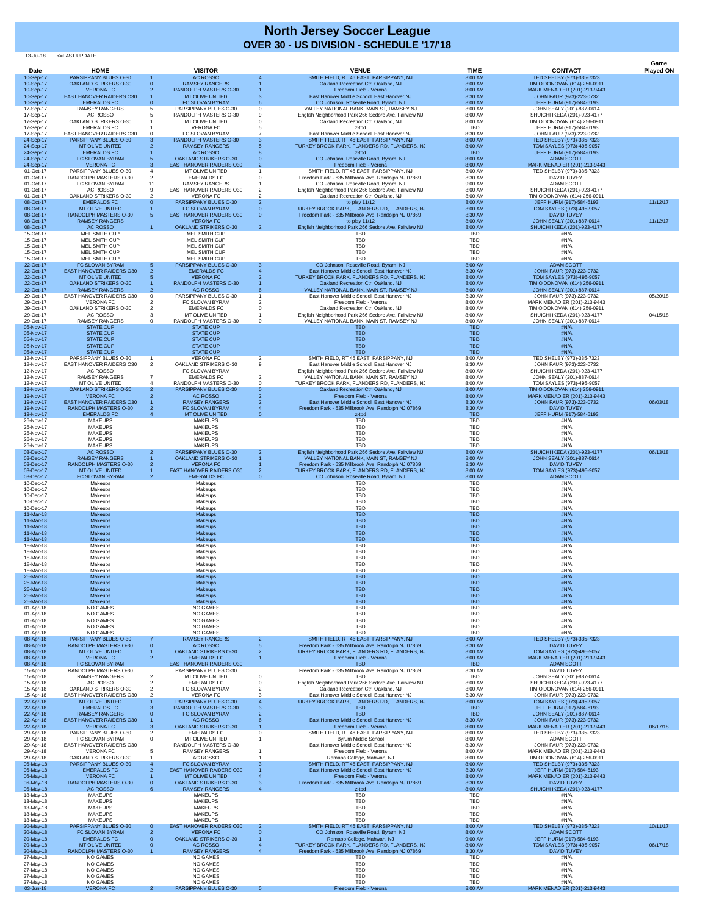13-Jul-18 <=LAST UPDATE

|                        | <b>HOME</b>                                              | <b>VISITOR</b>                                                    |                | <b>VENUE</b>                                                                                        | <b>TIME</b>              | <b>CONTACT</b>                                               | Game             |
|------------------------|----------------------------------------------------------|-------------------------------------------------------------------|----------------|-----------------------------------------------------------------------------------------------------|--------------------------|--------------------------------------------------------------|------------------|
| Date<br>10-Sep-17      | <b>PARSIPPANY BLUES O-30</b>                             | <b>AC ROSSO</b>                                                   |                | SMITH FIELD, RT 46 EAST, PARSIPPANY, NJ                                                             | 8:00 AM                  | TED SHELBY (973)-335-7323                                    | <b>Played ON</b> |
| 10-Sep-17<br>10-Sep-17 | <b>OAKLAND STRIKERS O-30</b><br><b>VERONA FC</b>         | <b>RAMSEY RANGERS</b><br>RANDOLPH MASTERS O-30                    |                | Oakland Recreation Ctr, Oakland, NJ<br>Freedom Field - Verona                                       | 8:00 AM<br>8:00 AM       | TIM O'DONOVAN (614) 256-0911<br>MARK MENADIER (201)-213-9443 |                  |
| 10-Sep-17<br>10-Sep-17 | <b>EAST HANOVER RAIDERS O30</b><br><b>EMERALDS FC</b>    | <b>MT OLIVE UNITED</b><br><b>FC SLOVAN BYRAM</b><br>$\Omega$      |                | East Hanover Middle School, East Hanover NJ<br>CO Johnson, Roseville Road, Byram, NJ                | 8:30 AM<br>8:00 AM       | JOHN FAUR (973)-223-0732<br>JEFF HURM (917)-584-6193         |                  |
| 17-Sep-17              | <b>RAMSEY RANGERS</b>                                    | PARSIPPANY BLUES O-30                                             | $\Omega$       | VALLEY NATIONAL BANK, MAIN ST, RAMSEY NJ                                                            | 8:00 AM                  | JOHN SEALY (201)-887-0614                                    |                  |
| 17-Sep-17<br>17-Sep-17 | AC ROSSO<br><b>OAKLAND STRIKERS O-30</b>                 | RANDOLPH MASTERS O-30<br><b>MT OLIVE UNITED</b>                   |                | English Neighborhood Park 266 Sedore Ave, Fairview NJ<br>Oakland Recreation Ctr, Oakland, NJ        | 8:00 AM<br>8:00 AM       | SHUICHI IKEDA (201)-923-4177<br>TIM O'DONOVAN (614) 256-0911 |                  |
| 17-Sep-17<br>17-Sep-17 | <b>EMERALDS FC</b><br><b>EAST HANOVER RAIDERS O30</b>    | <b>VERONA FC</b><br>FC SLOVAN BYRAM                               |                | z-tbd<br>East Hanover Middle School, East Hanover NJ                                                | <b>TBD</b><br>8:30 AM    | JEFF HURM (917)-584-6193<br>JOHN FAUR (973)-223-0732         |                  |
| 24-Sep-17              | <b>PARSIPPANY BLUES O-30</b>                             | <b>RANDOLPH MASTERS O-30</b>                                      |                | SMITH FIELD, RT 46 EAST, PARSIPPANY, NJ                                                             | 8:00 AM                  | TED SHELBY (973)-335-7323                                    |                  |
| 24-Sep-17<br>24-Sep-17 | <b>MT OLIVE UNITED</b><br><b>EMERALDS FC</b>             | <b>RAMSEY RANGERS</b><br><b>AC ROSSO</b>                          |                | TURKEY BROOK PARK, FLANDERS RD, FLANDERS, NJ<br>z-tbd                                               | 8:00 AM<br><b>TBD</b>    | TOM SAYLES (973)-495-9057<br>JEFF HURM (917)-584-6193        |                  |
| 24-Sep-17<br>24-Sep-17 | FC SLOVAN BYRAM<br><b>VERONA FC</b>                      | <b>OAKLAND STRIKERS O-30</b><br><b>EAST HANOVER RAIDERS O30</b>   |                | CO Johnson, Roseville Road, Byram, NJ<br>Freedom Field - Verona                                     | 8:00 AM<br>8:00 AM       | <b>ADAM SCOTT</b><br>MARK MENADIER (201)-213-9443            |                  |
| 01-Oct-17              | PARSIPPANY BLUES O-30                                    | <b>MT OLIVE UNITED</b>                                            |                | SMITH FIELD, RT 46 EAST, PARSIPPANY, NJ                                                             | 8:00 AM                  | TED SHELBY (973)-335-7323                                    |                  |
| 01-Oct-17<br>01-Oct-17 | RANDOLPH MASTERS O-30<br>FC SLOVAN BYRAM                 | <b>EMERALDS FC</b><br><b>RAMSEY RANGERS</b>                       |                | Freedom Park - 635 Millbrook Ave; Randolph NJ 07869<br>CO Johnson, Roseville Road, Byram, NJ        | 8:30 AM<br>9:00 AM       | <b>DAVID TUVEY</b><br>ADAM SCOTT                             |                  |
| 01-Oct-17<br>01-Oct-17 | AC ROSSO<br><b>OAKLAND STRIKERS O-30</b>                 | <b>EAST HANOVER RAIDERS O30</b><br><b>VERONA FC</b>               |                | English Neighborhood Park 266 Sedore Ave, Fairview NJ<br>Oakland Recreation Ctr, Oakland, NJ        | 8:00 AM<br>8:00 AM       | SHUICHI IKEDA (201)-923-4177<br>TIM O'DONOVAN (614) 256-0911 |                  |
| 08-Oct-17              | <b>EMERALDS FC</b>                                       | <b>PARSIPPANY BLUES O-30</b>                                      | $\Omega$       | to play $11/12$                                                                                     | 8:00 AM                  | JEFF HURM (917)-584-6193                                     | 11/12/17         |
| 08-Oct-17<br>08-Oct-17 | <b>MT OLIVE UNITED</b><br><b>RANDOLPH MASTERS O-30</b>   | FC SLOVAN BYRAM<br><b>EAST HANOVER RAIDERS 030</b>                | $\Omega$       | TURKEY BROOK PARK, FLANDERS RD, FLANDERS, NJ<br>Freedom Park - 635 Millbrook Ave; Randolph NJ 07869 | 8:00 AM<br>8:30 AM       | TOM SAYLES (973)-495-9057<br><b>DAVID TUVEY</b>              |                  |
| 08-Oct-17<br>08-Oct-17 | <b>RAMSEY RANGERS</b><br><b>AC ROSSO</b>                 | <b>VERONA FC</b><br><b>OAKLAND STRIKERS O-30</b>                  | $\overline{2}$ | to play 11/12<br>English Neighborhood Park 266 Sedore Ave, Fairview NJ                              | 8:00 AM<br>8:00 AM       | JOHN SEALY (201)-887-0614<br>SHUICHI IKEDA (201)-923-4177    | 11/12/17         |
| 15-Oct-17<br>15-Oct-17 | <b>MEL SMITH CUP</b><br><b>MEL SMITH CUP</b>             | MEL SMITH CUP<br><b>MEL SMITH CUP</b>                             |                | TBD<br><b>TBD</b>                                                                                   | <b>TBD</b><br><b>TBD</b> | #N/A<br>#N/A                                                 |                  |
| 15-Oct-17              | <b>MEL SMITH CUP</b>                                     | MEL SMITH CUP                                                     |                | <b>TBD</b>                                                                                          | <b>TBD</b>               | #N/A                                                         |                  |
| 15-Oct-17<br>15-Oct-17 | <b>MEL SMITH CUP</b><br><b>MEL SMITH CUP</b>             | MEL SMITH CUP<br>MEL SMITH CUP                                    |                | <b>TBD</b><br><b>TBD</b>                                                                            | <b>TBD</b><br><b>TBD</b> | #N/A<br>#N/A                                                 |                  |
| 22-Oct-17<br>22-Oct-17 | FC SLOVAN BYRAM<br><b>EAST HANOVER RAIDERS O30</b>       | <b>PARSIPPANY BLUES O-30</b><br>5.<br><b>EMERALDS FC</b>          | -3             | CO Johnson, Roseville Road, Byram, NJ<br>East Hanover Middle School, East Hanover NJ                | 8:00 AM<br>8:30 AM       | <b>ADAM SCOTT</b><br>JOHN FAUR (973)-223-0732                |                  |
| 22-Oct-17              | <b>MT OLIVE UNITED</b>                                   | <b>VERONA FC</b>                                                  |                | TURKEY BROOK PARK, FLANDERS RD, FLANDERS, NJ                                                        | 8:00 AM                  | TOM SAYLES (973)-495-9057                                    |                  |
| 22-Oct-17<br>22-Oct-17 | <b>OAKLAND STRIKERS O-30</b><br><b>RAMSEY RANGERS</b>    | RANDOLPH MASTERS O-30<br>AC ROSSO                                 |                | Oakland Recreation Ctr, Oakland, NJ<br>VALLEY NATIONAL BANK, MAIN ST, RAMSEY NJ                     | 8:00 AM<br>8:00 AM       | TIM O'DONOVAN (614) 256-0911<br>JOHN SEALY (201)-887-0614    |                  |
| 29-Oct-17<br>29-Oct-17 | EAST HANOVER RAIDERS O30<br><b>VERONA FC</b>             | PARSIPPANY BLUES O-30<br>FC SLOVAN BYRAM                          |                | East Hanover Middle School, East Hanover NJ<br>Freedom Field - Verona                               | 8:30 AM<br>8:00 AM       | JOHN FAUR (973)-223-0732<br>MARK MENADIER (201)-213-9443     | 05/20/18         |
| 29-Oct-17              | <b>OAKLAND STRIKERS O-30</b>                             | <b>EMERALDS FC</b>                                                |                | Oakland Recreation Ctr, Oakland, NJ                                                                 | 8:00 AM                  | TIM O'DONOVAN (614) 256-0911                                 |                  |
| 29-Oct-17<br>29-Oct-17 | AC ROSSO<br><b>RAMSEY RANGERS</b>                        | MT OLIVE UNITED<br>RANDOLPH MASTERS O-30                          |                | English Neighborhood Park 266 Sedore Ave, Fairview NJ<br>VALLEY NATIONAL BANK, MAIN ST, RAMSEY NJ   | 8:00 AM<br>8:00 AM       | SHUICHI IKEDA (201)-923-4177<br>JOHN SEALY (201)-887-0614    | 04/15/18         |
| 05-Nov-17<br>05-Nov-17 | <b>STATE CUP</b><br><b>STATE CUP</b>                     | <b>STATE CUP</b><br><b>STATE CUP</b>                              |                | <b>TBD</b><br><b>TBD</b>                                                                            | <b>TBD</b><br><b>TBD</b> | #N/A<br>#N/A                                                 |                  |
| 05-Nov-17<br>05-Nov-17 | <b>STATE CUP</b><br><b>STATE CUP</b>                     | <b>STATE CUP</b><br><b>STATE CUP</b>                              |                | <b>TBD</b><br><b>TBD</b>                                                                            | <b>TBD</b><br><b>TBD</b> | #N/A<br>#N/A                                                 |                  |
| 05-Nov-17              | <b>STATE CUP</b>                                         | <b>STATE CUP</b>                                                  |                | <b>TBD</b>                                                                                          | <b>TBD</b>               | #N/A                                                         |                  |
| 12-Nov-17<br>12-Nov-17 | PARSIPPANY BLUES O-30<br>EAST HANOVER RAIDERS O30        | <b>VERONA FC</b><br><b>OAKLAND STRIKERS O-30</b>                  | -9             | SMITH FIELD, RT 46 EAST, PARSIPPANY, NJ<br>East Hanover Middle School, East Hanover NJ              | 8:00 AM<br>8:30 AM       | TED SHELBY (973)-335-7323<br>JOHN FAUR (973)-223-0732        |                  |
| 12-Nov-17<br>12-Nov-17 | AC ROSSO<br><b>RAMSEY RANGERS</b>                        | FC SLOVAN BYRAM<br><b>EMERALDS FC</b>                             |                | English Neighborhood Park 266 Sedore Ave, Fairview NJ<br>VALLEY NATIONAL BANK, MAIN ST, RAMSEY NJ   | 8:00 AM<br>8:00 AM       | SHUICHI IKEDA (201)-923-4177<br>JOHN SEALY (201)-887-0614    |                  |
| 12-Nov-17              | MT OLIVE UNITED                                          | RANDOLPH MASTERS O-30                                             | -0             | TURKEY BROOK PARK, FLANDERS RD, FLANDERS, NJ                                                        | 8:00 AM                  | TOM SAYLES (973)-495-9057                                    |                  |
| 19-Nov-17<br>19-Nov-17 | <b>OAKLAND STRIKERS O-30</b><br><b>VERONA FC</b>         | PARSIPPANY BLUES O-30<br>AC ROSSO                                 |                | Oakland Recreation Ctr, Oakland, NJ<br>Freedom Field - Verona                                       | 8:00 AM<br>8:00 AM       | TIM O'DONOVAN (614) 256-0911<br>MARK MENADIER (201)-213-9443 |                  |
| 19-Nov-17              | <b>EAST HANOVER RAIDERS O30</b>                          | <b>RAMSEY RANGERS</b>                                             |                | East Hanover Middle School, East Hanover NJ                                                         | 8:30 AM                  | JOHN FAUR (973)-223-0732                                     | 06/03/18         |
| 19-Nov-17<br>19-Nov-17 | <b>RANDOLPH MASTERS O-30</b><br><b>EMERALDS FC</b>       | FC SLOVAN BYRAM<br><b>MT OLIVE UNITED</b>                         | $\Omega$       | Freedom Park - 635 Millbrook Ave; Randolph NJ 07869<br>z-tbd                                        | 8:30 AM<br><b>TBD</b>    | <b>DAVID TUVEY</b><br>JEFF HURM (917)-584-6193               |                  |
| 26-Nov-17<br>26-Nov-17 | <b>MAKEUPS</b><br><b>MAKEUPS</b>                         | <b>MAKEUPS</b><br><b>MAKEUPS</b>                                  |                | <b>TBD</b><br><b>TBD</b>                                                                            | <b>TBD</b><br><b>TBD</b> | #N/A<br>#N/A                                                 |                  |
| 26-Nov-17              | <b>MAKEUPS</b>                                           | <b>MAKEUPS</b>                                                    |                | TBD                                                                                                 | <b>TBD</b>               | #N/A                                                         |                  |
| 26-Nov-17<br>26-Nov-17 | <b>MAKEUPS</b><br><b>MAKEUPS</b>                         | <b>MAKEUPS</b><br><b>MAKEUPS</b>                                  |                | <b>TBD</b><br><b>TBD</b>                                                                            | <b>TBD</b><br><b>TBD</b> | #N/A<br>#N/A                                                 |                  |
| 03-Dec-17<br>03-Dec-17 | <b>AC ROSSO</b><br><b>RAMSEY RANGERS</b>                 | PARSIPPANY BLUES O-30<br><b>OAKLAND STRIKERS O-30</b>             |                | English Neighborhood Park 266 Sedore Ave, Fairview NJ<br>VALLEY NATIONAL BANK, MAIN ST, RAMSEY NJ   | 8:00 AM                  | SHUICHI IKEDA (201)-923-4177                                 | 06/13/18         |
| 03-Dec-17              | RANDOLPH MASTERS O-30                                    | <b>VERONA FC</b>                                                  |                | Freedom Park - 635 Millbrook Ave; Randolph NJ 07869                                                 | 8:00 AM<br>8:30 AM       | JOHN SEALY (201)-887-0614<br><b>DAVID TUVEY</b>              |                  |
| 03-Dec-17<br>03-Dec-17 | <b>MT OLIVE UNITED</b><br>FC SLOVAN BYRAM                | <b>EAST HANOVER RAIDERS 030</b><br><b>EMERALDS FC</b>             |                | TURKEY BROOK PARK, FLANDERS RD, FLANDERS, NJ<br>CO Johnson, Roseville Road, Byram, NJ               | 8:00 AM<br>8:00 AM       | TOM SAYLES (973)-495-9057<br><b>ADAM SCOTT</b>               |                  |
| 10-Dec-17              | Makeups                                                  | Makeups                                                           |                | TBD                                                                                                 | <b>TBD</b>               | #N/A                                                         |                  |
| 10-Dec-17<br>10-Dec-17 | Makeups<br>Makeups                                       | Makeups<br>Makeups                                                |                | <b>TBD</b><br><b>TBD</b>                                                                            | <b>TBD</b><br><b>TBD</b> | #N/A<br>#N/A                                                 |                  |
| 10-Dec-17<br>10-Dec-17 | Makeups<br>Makeups                                       | Makeups<br>Makeups                                                |                | <b>TBD</b><br><b>TBD</b>                                                                            | <b>TBD</b><br><b>TBD</b> | #N/A<br>#N/A                                                 |                  |
| 11-Mar-18              | <b>Makeups</b>                                           | <b>Makeups</b>                                                    |                | <b>TBD</b>                                                                                          | <b>TBD</b>               | #N/A                                                         |                  |
| 11-Mar-18<br>11-Mar-18 | <b>Makeups</b><br>Makeups                                | <b>Makeups</b><br><b>Makeups</b>                                  |                | <b>TBD</b><br><b>TBD</b>                                                                            | <b>TBD</b><br><b>TBD</b> | #N/A<br>#N/A                                                 |                  |
| 11-Mar-18<br>11-Mar-18 | <b>Makeups</b><br><b>Makeups</b>                         | <b>Makeups</b><br><b>Makeups</b>                                  |                | <b>TBD</b><br><b>TBD</b>                                                                            | <b>TBD</b><br><b>TBD</b> | #N/A<br>#N/A                                                 |                  |
| 18-Mar-18              | Makeups                                                  | Makeups                                                           |                | <b>TBD</b>                                                                                          | <b>TBD</b>               | #N/A                                                         |                  |
| 18-Mar-18<br>18-Mar-18 | Makeups<br>Makeups                                       | Makeups<br>Makeups                                                |                | <b>TBD</b><br>TBD                                                                                   | <b>TBD</b><br><b>TBD</b> | #N/A<br>#N/A                                                 |                  |
| 18-Mar-18<br>18-Mar-18 | Makeups<br>Makeups                                       | Makeups<br>Makeups                                                |                | TBD<br><b>TBD</b>                                                                                   | <b>TBD</b><br><b>TBD</b> | #N/A<br>#N/A                                                 |                  |
| 25-Mar-18              | <b>Makeups</b>                                           | <b>Makeups</b>                                                    |                | <b>TBD</b>                                                                                          | <b>TBD</b>               | #N/A                                                         |                  |
| 25-Mar-18<br>25-Mar-18 | <b>Makeups</b><br><b>Makeups</b>                         | <b>Makeups</b><br><b>Makeups</b>                                  |                | <b>TBD</b><br><b>TBD</b>                                                                            | <b>TBD</b><br><b>TBD</b> | #N/A<br>#N/A                                                 |                  |
| 25-Mar-18<br>25-Mar-18 | Makeups<br><b>Makeups</b>                                | <b>Makeups</b><br><b>Makeups</b>                                  |                | <b>TBD</b><br><b>TBD</b>                                                                            | <b>TBD</b><br><b>TBD</b> | #N/A<br>#N/A                                                 |                  |
| 01-Apr-18              | <b>NO GAMES</b>                                          | <b>NO GAMES</b>                                                   |                | <b>TBD</b>                                                                                          | <b>TBD</b>               | #N/A                                                         |                  |
| 01-Apr-18<br>01-Apr-18 | <b>NO GAMES</b><br><b>NO GAMES</b>                       | <b>NO GAMES</b><br><b>NO GAMES</b>                                |                | <b>TBD</b><br><b>TBD</b>                                                                            | <b>TBD</b><br><b>TBD</b> | #N/A<br>#N/A                                                 |                  |
| 01-Apr-18<br>01-Apr-18 | <b>NO GAMES</b><br>NO GAMES                              | <b>NO GAMES</b><br>NO GAMES                                       |                | <b>TBD</b><br><b>TBD</b>                                                                            | <b>TBD</b><br><b>TBD</b> | #N/A<br>#N/A                                                 |                  |
| 08-Apr-18              | PARSIPPANY BLUES O-30                                    | <b>RAMSEY RANGERS</b>                                             |                | SMITH FIELD, RT 46 EAST, PARSIPPANY, NJ                                                             | 8:00 AM                  | TED SHELBY (973)-335-7323                                    |                  |
| 08-Apr-18<br>08-Apr-18 | <b>RANDOLPH MASTERS O-30</b><br><b>MT OLIVE UNITED</b>   | <b>AC ROSSO</b><br><b>OAKLAND STRIKERS O-30</b>                   |                | Freedom Park - 635 Millbrook Ave; Randolph NJ 07869<br>TURKEY BROOK PARK, FLANDERS RD, FLANDERS, NJ | 8:30 AM<br>8:00 AM       | <b>DAVID TUVEY</b><br>TOM SAYLES (973)-495-9057              |                  |
| 08-Apr-18<br>08-Apr-18 | <b>VERONA FC</b><br>FC SLOVAN BYRAM                      | <b>EMERALDS FC</b><br><b>EAST HANOVER RAIDERS O30</b>             |                | Freedom Field - Verona<br><b>TBD</b>                                                                | 8:00 AM<br><b>TBD</b>    | MARK MENADIER (201)-213-9443<br><b>ADAM SCOTT</b>            |                  |
| 15-Apr-18              | RANDOLPH MASTERS O-30                                    | PARSIPPANY BLUES O-30                                             |                | Freedom Park - 635 Millbrook Ave; Randolph NJ 07869                                                 | 8:30 AM                  | <b>DAVID TUVEY</b>                                           |                  |
| 15-Apr-18<br>15-Apr-18 | <b>RAMSEY RANGERS</b><br><b>AC ROSSO</b>                 | <b>MT OLIVE UNITED</b><br><b>EMERALDS FC</b>                      |                | <b>TBD</b><br>English Neighborhood Park 266 Sedore Ave, Fairview NJ                                 | <b>TBD</b><br>8:00 AM    | JOHN SEALY (201)-887-0614<br>SHUICHI IKEDA (201)-923-4177    |                  |
| 15-Apr-18<br>15-Apr-18 | <b>OAKLAND STRIKERS O-30</b><br>EAST HANOVER RAIDERS O30 | FC SLOVAN BYRAM<br><b>VERONA FC</b>                               |                | Oakland Recreation Ctr, Oakland, NJ<br>East Hanover Middle School, East Hanover NJ                  | 8:00 AM<br>8:30 AM       | TIM O'DONOVAN (614) 256-0911<br>JOHN FAUR (973)-223-0732     |                  |
| 22-Apr-18              | MT OLIVE UNITED                                          | PARSIPPANY BLUES O-30                                             |                | TURKEY BROOK PARK, FLANDERS RD, FLANDERS, NJ                                                        | 8:00 AM                  | TOM SAYLES (973)-495-9057                                    |                  |
| 22-Apr-18<br>22-Apr-18 | <b>EMERALDS FC</b><br><b>RAMSEY RANGERS</b>              | RANDOLPH MASTERS O-30<br>FC SLOVAN BYRAM                          |                | <b>TBD</b><br><b>TBD</b>                                                                            | <b>TBD</b><br><b>TBD</b> | JEFF HURM (917)-584-6193<br>JOHN SEALY (201)-887-0614        |                  |
| 22-Apr-18<br>22-Apr-18 | <b>EAST HANOVER RAIDERS 030</b><br><b>VERONA FC</b>      | <b>AC ROSSO</b><br><b>OAKLAND STRIKERS O-30</b>                   |                | East Hanover Middle School, East Hanover NJ<br>Freedom Field - Verona                               | 8:30 AM<br>8:00 AM       | JOHN FAUR (973)-223-0732<br>MARK MENADIER (201)-213-9443     | 06/17/18         |
| 29-Apr-18              | PARSIPPANY BLUES O-30                                    | <b>EMERALDS FC</b>                                                |                | SMITH FIELD, RT 46 EAST, PARSIPPANY, NJ                                                             | 8:00 AM                  | TED SHELBY (973)-335-7323                                    |                  |
| 29-Apr-18<br>29-Apr-18 | FC SLOVAN BYRAM<br>EAST HANOVER RAIDERS O30              | <b>MT OLIVE UNITED</b><br>$\overline{0}$<br>RANDOLPH MASTERS O-30 |                | <b>Byrum Middle School</b><br>East Hanover Middle School, East Hanover NJ                           | 8:00 AM<br>8:30 AM       | <b>ADAM SCOTT</b><br>JOHN FAUR (973)-223-0732                |                  |
| 29-Apr-18<br>29-Apr-18 | <b>VERONA FC</b><br><b>OAKLAND STRIKERS O-30</b>         | <b>RAMSEY RANGERS</b><br>AC ROSSO                                 |                | Freedom Field - Verona<br>Ramapo College, Mahwah, NJ                                                | 8:00 AM<br>8:00 AM       | MARK MENADIER (201)-213-9443<br>TIM O'DONOVAN (614) 256-0911 |                  |
| 06-May-18              | PARSIPPANY BLUES O-30                                    | FC SLOVAN BYRAM                                                   |                | SMITH FIELD, RT 46 EAST, PARSIPPANY, NJ                                                             | 8:00 AM                  | TED SHELBY (973)-335-7323                                    |                  |
| 06-May-18<br>06-May-18 | <b>EMERALDS FC</b><br><b>VERONA FC</b>                   | <b>EAST HANOVER RAIDERS O30</b><br><b>MT OLIVE UNITED</b>         |                | East Hanover Middle School, East Hanover NJ<br>Freedom Field - Verona                               | 8:30 AM<br>8:00 AM       | JEFF HURM (917)-584-6193<br>MARK MENADIER (201)-213-9443     |                  |
| 06-May-18              | <b>RANDOLPH MASTERS O-30</b><br><b>AC ROSSO</b>          | <b>OAKLAND STRIKERS O-30</b><br><b>RAMSEY RANGERS</b>             |                | Freedom Park - 635 Millbrook Ave; Randolph NJ 07869                                                 | 8:30 AM                  | <b>DAVID TUVEY</b>                                           |                  |
| 06-May-18<br>13-May-18 | <b>MAKEUPS</b>                                           | <b>MAKEUPS</b>                                                    |                | z-tbd<br><b>TBD</b>                                                                                 | 8:00 AM<br><b>TBD</b>    | SHUICHI IKEDA (201)-923-4177<br>#N/A                         |                  |
| 13-May-18<br>13-May-18 | <b>MAKEUPS</b><br><b>MAKEUPS</b>                         | <b>MAKEUPS</b><br><b>MAKEUPS</b>                                  |                | <b>TBD</b><br>TBD                                                                                   | <b>TBD</b><br><b>TBD</b> | #N/A<br>#N/A                                                 |                  |
| 13-May-18              | <b>MAKEUPS</b>                                           | <b>MAKEUPS</b>                                                    |                | <b>TBD</b>                                                                                          | <b>TBD</b>               | #N/A                                                         |                  |
| 13-May-18<br>20-May-18 | <b>MAKEUPS</b><br>PARSIPPANY BLUES O-30                  | <b>MAKEUPS</b><br><b>EAST HANOVER RAIDERS 030</b>                 | 2              | <b>TBD</b><br>SMITH FIELD, RT 46 EAST, PARSIPPANY, NJ                                               | <b>TBD</b><br>8:00 AM    | #N/A<br>TED SHELBY (973)-335-7323                            | 10/11/17         |
| 20-May-18<br>20-May-18 | FC SLOVAN BYRAM<br><b>EMERALDS FC</b>                    | <b>VERONA FC</b><br><b>OAKLAND STRIKERS O-30</b>                  |                | CO Johnson, Roseville Road, Byram, NJ<br>Ramapo College, Mahwah, NJ                                 | 8:00 AM<br>9:00 AM       | <b>ADAM SCOTT</b><br>JEFF HURM (917)-584-6193                |                  |
| 20-May-18              | <b>MT OLIVE UNITED</b>                                   | AC ROSSO                                                          |                | TURKEY BROOK PARK, FLANDERS RD, FLANDERS, NJ                                                        | 8:00 AM                  | TOM SAYLES (973)-495-9057                                    | 06/17/18         |
| 20-May-18<br>27-May-18 | <b>RANDOLPH MASTERS O-30</b><br><b>NO GAMES</b>          | <b>RAMSEY RANGERS</b><br><b>NO GAMES</b>                          |                | Freedom Park - 635 Millbrook Ave; Randolph NJ 07869<br>TBD                                          | 8:30 AM<br><b>TBD</b>    | <b>DAVID TUVEY</b><br>#N/A                                   |                  |
| 27-May-18<br>27-May-18 | NO GAMES<br><b>NO GAMES</b>                              | <b>NO GAMES</b><br>NO GAMES                                       |                | TBD<br>TBD                                                                                          | <b>TBD</b><br><b>TBD</b> | #N/A<br>#N/A                                                 |                  |
| 27-May-18              | <b>NO GAMES</b>                                          | <b>NO GAMES</b>                                                   |                | <b>TBD</b>                                                                                          | <b>TBD</b>               | #N/A                                                         |                  |
| 27-May-18<br>03-Jun-18 | <b>NO GAMES</b><br><b>VERONA FC</b>                      | <b>NO GAMES</b><br>PARSIPPANY BLUES O-30<br>2 <sup>1</sup>        | $\overline{0}$ | <b>TBD</b><br>Freedom Field - Verona                                                                | <b>TBD</b><br>8:00 AM    | #N/A<br>MARK MENADIER (201)-213-9443                         |                  |

## **OVER 30 - US DIVISION - SCHEDULE '17/'18 North Jersey Soccer League**